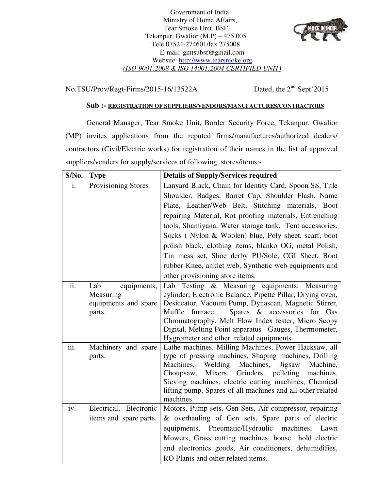Government of India Ministry of Home Affairs, Tear Smoke Unit, BSF, Tekanpur, Gwalior (M.P) – 475 005 Tele 07524-274601/fax 275008 E-mail: gmtsubsf@gmail.com Website: http://www.tearsmoke.org *(ISO-9001:2008 & ISO 14001:2004 CERTIFIED UNIT)* 



 $No.TSU/Prov/Regt-Firms/2015-16/13522A$ 

Dated, the  $2<sup>nd</sup>$  Sept'2015

## **Sub :- REGISTRATION OF SUPPLIERS/VENDORS/MANUFACTURES/CONTRACTORS**

General Manager, Tear Smoke Unit, Border Security Force, Tekanpur, Gwalior (MP) invites applications from the reputed firms/manufactures/authorized dealers/ contractors (Civil/Electric works) for registration of their names in the list of approved suppliers/venders for supply/services of following stores/items:-

| S/No. | <b>Type</b>                     | <b>Details of Supply/Services required</b>                                                                    |  |  |
|-------|---------------------------------|---------------------------------------------------------------------------------------------------------------|--|--|
| i.    | Provisioning Stores             | Lanyard Black, Chain for Identity Card, Spoon SS, Title                                                       |  |  |
|       |                                 | Shoulder, Badges, Barret Cap, Shoulder Flash, Name                                                            |  |  |
|       |                                 | Plate, Leather/Web Belt, Stitching materials, Boot                                                            |  |  |
|       |                                 | repairing Material, Rot proofing materials, Entrenching                                                       |  |  |
|       |                                 | tools, Shamiyana, Water storage tank, Tent accessories,                                                       |  |  |
|       |                                 | Socks (Nylon & Woolen) blue, Poly sheet, scarf, boot                                                          |  |  |
|       |                                 | polish black, clothing items, blanko OG, metal Polish,                                                        |  |  |
|       |                                 | Tin mess set, Shoe derby PU/Sole, CGI Sheet, Boot                                                             |  |  |
|       |                                 | rubber Knee, anklet web, Synthetic web equipments and                                                         |  |  |
|       |                                 | other provisioning store items.                                                                               |  |  |
| ii.   | Lab<br>equipments,<br>Measuring | Lab Testing & Measuring equipments, Measuring<br>cylinder, Electronic Balance, Pipette Pillar, Drying oven,   |  |  |
|       | equipments and spare            | Desiccator, Vacuum Pump, Dynascan, Magnetic Stirrer,                                                          |  |  |
|       | parts.                          | Spares & accessories for Gas<br>Muffle<br>furnace,                                                            |  |  |
|       |                                 | Chromatography, Melt Flow Index tester, Micro Scopy                                                           |  |  |
|       |                                 | Digital, Melting Point apparatus Gauges, Thermometer,                                                         |  |  |
|       |                                 | Hygrometer and other related equipments.                                                                      |  |  |
| iii.  | Machinery and spare             | Lathe machines, Milling Machines, Power Hacksaw, all                                                          |  |  |
|       | parts.                          | type of pressing machines, Shaping machines, Drilling<br>Machines,<br>Welding Machines,<br>Machine,<br>Jigsaw |  |  |
|       |                                 | Mixers,<br>Grinders, pelleting<br>Choupsaw,<br>machines,                                                      |  |  |
|       |                                 | Sieving machines, electric cutting machines, Chemical                                                         |  |  |
|       |                                 | lifting pump, Spares of all machines and all other related                                                    |  |  |
|       |                                 | machines.                                                                                                     |  |  |
| iv.   | Electrical, Electronic          | Motors, Pump sets, Gen Sets, Air compressor, repairing                                                        |  |  |
|       | items and spare parts.          | & overhauling of Gen sets, Spare parts of electric                                                            |  |  |
|       |                                 | equipments, Pneumatic/Hydraulic machines, Lawn                                                                |  |  |
|       |                                 | Mowers, Grass cutting machines, house hold electric                                                           |  |  |
|       |                                 | and electronics goods, Air conditioners, dehumidifies,                                                        |  |  |
|       |                                 | RO Plants and other related items.                                                                            |  |  |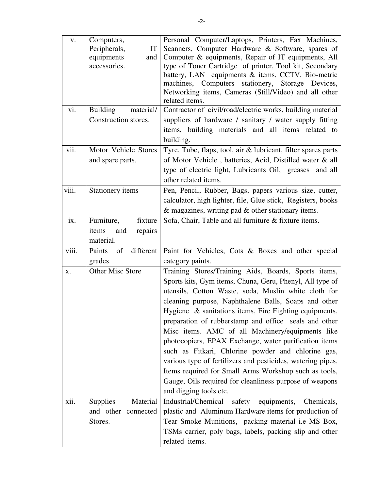| V.<br>vi. | Computers,<br>Peripherals,<br>IT<br>equipments<br>and<br>accessories.<br><b>Building</b><br>material/<br>Construction stores. | Personal Computer/Laptops, Printers, Fax Machines,<br>Scanners, Computer Hardware & Software, spares of<br>Computer & equipments, Repair of IT equipments, All<br>type of Toner Cartridge of printer, Tool kit, Secondary<br>battery, LAN equipments & items, CCTV, Bio-metric<br>machines, Computers stationery, Storage Devices,<br>Networking items, Cameras (Still/Video) and all other<br>related items.<br>Contractor of civil/road/electric works, building material<br>suppliers of hardware / sanitary / water supply fitting<br>items, building materials and all items related to                                                                                                                                        |
|-----------|-------------------------------------------------------------------------------------------------------------------------------|-------------------------------------------------------------------------------------------------------------------------------------------------------------------------------------------------------------------------------------------------------------------------------------------------------------------------------------------------------------------------------------------------------------------------------------------------------------------------------------------------------------------------------------------------------------------------------------------------------------------------------------------------------------------------------------------------------------------------------------|
| vii.      | Motor Vehicle Stores<br>and spare parts.                                                                                      | building.<br>Tyre, Tube, flaps, tool, air & lubricant, filter spares parts<br>of Motor Vehicle, batteries, Acid, Distilled water & all<br>type of electric light, Lubricants Oil, greases and all<br>other related items.                                                                                                                                                                                                                                                                                                                                                                                                                                                                                                           |
| viii.     | Stationery items                                                                                                              | Pen, Pencil, Rubber, Bags, papers various size, cutter,<br>calculator, high lighter, file, Glue stick, Registers, books<br>$\&$ magazines, writing pad $\&$ other stationary items.                                                                                                                                                                                                                                                                                                                                                                                                                                                                                                                                                 |
| ix.       | Furniture,<br>fixture<br>items<br>and<br>repairs<br>material.                                                                 | Sofa, Chair, Table and all furniture & fixture items.                                                                                                                                                                                                                                                                                                                                                                                                                                                                                                                                                                                                                                                                               |
| viii.     | different<br>Paints<br>of<br>grades.                                                                                          | Paint for Vehicles, Cots & Boxes and other special<br>category paints.                                                                                                                                                                                                                                                                                                                                                                                                                                                                                                                                                                                                                                                              |
| X.        | Other Misc Store                                                                                                              | Training Stores/Training Aids, Boards, Sports items,<br>Sports kits, Gym items, Chuna, Geru, Phenyl, All type of<br>utensils, Cotton Waste, soda, Muslin white cloth for<br>cleaning purpose, Naphthalene Balls, Soaps and other<br>Hygiene & sanitations items, Fire Fighting equipments,<br>preparation of rubberstamp and office seals and other<br>Misc items. AMC of all Machinery/equipments like<br>photocopiers, EPAX Exchange, water purification items<br>such as Fitkari, Chlorine powder and chlorine gas,<br>various type of fertilizers and pesticides, watering pipes,<br>Items required for Small Arms Workshop such as tools,<br>Gauge, Oils required for cleanliness purpose of weapons<br>and digging tools etc. |
| xii.      | Material<br><b>Supplies</b><br>and other connected<br>Stores.                                                                 | Industrial/Chemical<br>safety equipments,<br>Chemicals,<br>plastic and Aluminum Hardware items for production of<br>Tear Smoke Munitions, packing material i.e MS Box,<br>TSMs carrier, poly bags, labels, packing slip and other<br>related items.                                                                                                                                                                                                                                                                                                                                                                                                                                                                                 |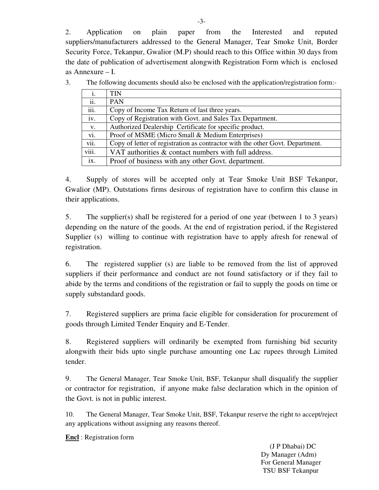2. Application on plain paper from the Interested and reputed suppliers/manufacturers addressed to the General Manager, Tear Smoke Unit, Border Security Force, Tekanpur, Gwalior (M.P) should reach to this Office within 30 days from the date of publication of advertisement alongwith Registration Form which is enclosed as Annexure – I.

3. The following documents should also be enclosed with the application/registration form:-

| i.    | <b>TIN</b>                                                                    |
|-------|-------------------------------------------------------------------------------|
| ii.   | <b>PAN</b>                                                                    |
| iii.  | Copy of Income Tax Return of last three years.                                |
| iv.   | Copy of Registration with Govt. and Sales Tax Department.                     |
| V.    | Authorized Dealership Certificate for specific product.                       |
| vi.   | Proof of MSME (Micro Small & Medium Enterprises)                              |
| vii.  | Copy of letter of registration as contractor with the other Govt. Department. |
| viii. | VAT authorities & contact numbers with full address.                          |
| ix.   | Proof of business with any other Govt. department.                            |

4. Supply of stores will be accepted only at Tear Smoke Unit BSF Tekanpur, Gwalior (MP). Outstations firms desirous of registration have to confirm this clause in their applications.

5. The supplier(s) shall be registered for a period of one year (between 1 to 3 years) depending on the nature of the goods. At the end of registration period, if the Registered Supplier (s) willing to continue with registration have to apply afresh for renewal of registration.

6. The registered supplier (s) are liable to be removed from the list of approved suppliers if their performance and conduct are not found satisfactory or if they fail to abide by the terms and conditions of the registration or fail to supply the goods on time or supply substandard goods.

7. Registered suppliers are prima facie eligible for consideration for procurement of goods through Limited Tender Enquiry and E-Tender.

8. Registered suppliers will ordinarily be exempted from furnishing bid security alongwith their bids upto single purchase amounting one Lac rupees through Limited tender.

9. The General Manager, Tear Smoke Unit, BSF, Tekanpur shall disqualify the supplier or contractor for registration, if anyone make false declaration which in the opinion of the Govt. is not in public interest.

10. The General Manager, Tear Smoke Unit, BSF, Tekanpur reserve the right to accept/reject any applications without assigning any reasons thereof.

**Encl** : Registration form

 (J P Dhabai) DC Dy Manager (Adm) For General Manager TSU BSF Tekanpur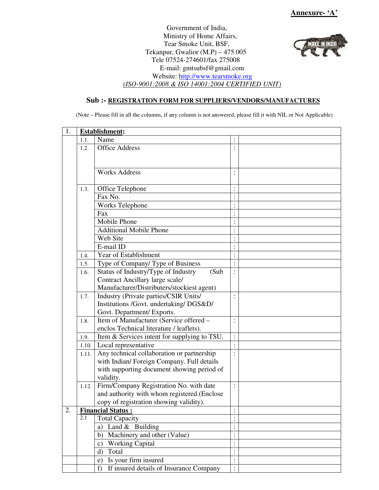*VIEWE IN INFOR* 

Government of India, Ministry of Home Affairs, Tear Smoke Unit, BSF, Tekanpur, Gwalior (M.P) – 475 005 Tele 07524-274601/fax 275008 E-mail: gmtsubsf@gmail.com Website: http://www.tearsmoke.org *(ISO-9001:2008 & ISO 14001:2004 CERTIFIED UNIT)* 

## **Sub :- REGISTRATION FORM FOR SUPPLIERS/VENDORS/MANUFACTURES**

(Note – Please fill in all the columns, if any column is not answered, please fill it with NIL or Not Applicable)

| 1. |       | <b>Establishment:</b>                        |                      |  |
|----|-------|----------------------------------------------|----------------------|--|
|    | 1.1.  | Name                                         |                      |  |
|    | 1.2.  | <b>Office Address</b>                        |                      |  |
|    |       |                                              |                      |  |
|    |       |                                              |                      |  |
|    |       | <b>Works Address</b>                         |                      |  |
|    |       |                                              |                      |  |
|    | 1.3.  | Office Telephone                             |                      |  |
|    |       | Fax No.                                      |                      |  |
|    |       | Works Telephone                              |                      |  |
|    |       | Fax                                          |                      |  |
|    |       | Mobile Phone                                 |                      |  |
|    |       | <b>Additional Mobile Phone</b>               |                      |  |
|    |       | Web Site                                     | $\cdot$              |  |
|    |       | E-mail ID                                    |                      |  |
|    | 1.4.  | Year of Establishment                        | $\ddot{\phantom{0}}$ |  |
|    | 1.5.  | Type of Company/Type of Business             |                      |  |
|    | 1.6.  | Status of Industry/Type of Industry<br>(Sub  | $\ddot{\cdot}$       |  |
|    |       | Contract Ancillary large scale/              |                      |  |
|    |       | Manufacturer/Distributers/stockiest agent)   |                      |  |
|    | 1.7.  | Industry (Private parties/CSIR Units/        |                      |  |
|    |       | Institutions /Govt. undertaking/ DGS&D/      |                      |  |
|    |       | Govt. Department/ Exports.                   |                      |  |
|    | 1.8.  | Item of Manufacturer (Service offered -      | :                    |  |
|    |       | enclos Technical literature / leaflets).     |                      |  |
|    | 1.9.  | Item & Services intent for supplying to TSU. | $\colon$             |  |
|    | 1.10. | Local representative                         |                      |  |
|    | 1.11. | Any technical collaboration or partnership   | $\ddot{\phantom{0}}$ |  |
|    |       | with Indian/ Foreign Company. Full details   |                      |  |
|    |       | with supporting document showing period of   |                      |  |
|    |       | validity.                                    |                      |  |
|    | 1.12. | Firm/Company Registration No. with date      | $\ddot{\cdot}$       |  |
|    |       | and authority with whom registered.(Enclose  |                      |  |
|    |       | copy of registration showing validity).      |                      |  |
| 2. |       | <b>Financial Status:</b>                     |                      |  |
|    | 2.1   | <b>Total Capacity</b>                        |                      |  |
|    |       | Land $&$ Building<br>a)                      |                      |  |
|    |       | Machinery and other (Value)<br>b)            | $\vdots$             |  |
|    |       | <b>Working Capital</b><br>C)                 |                      |  |
|    |       | Total<br>$\mathbf{d}$                        | $\ddot{\cdot}$       |  |
|    |       | Is your firm insured<br>e)                   |                      |  |
|    |       | If insured details of Insurance Company<br>f | $\vdots$             |  |